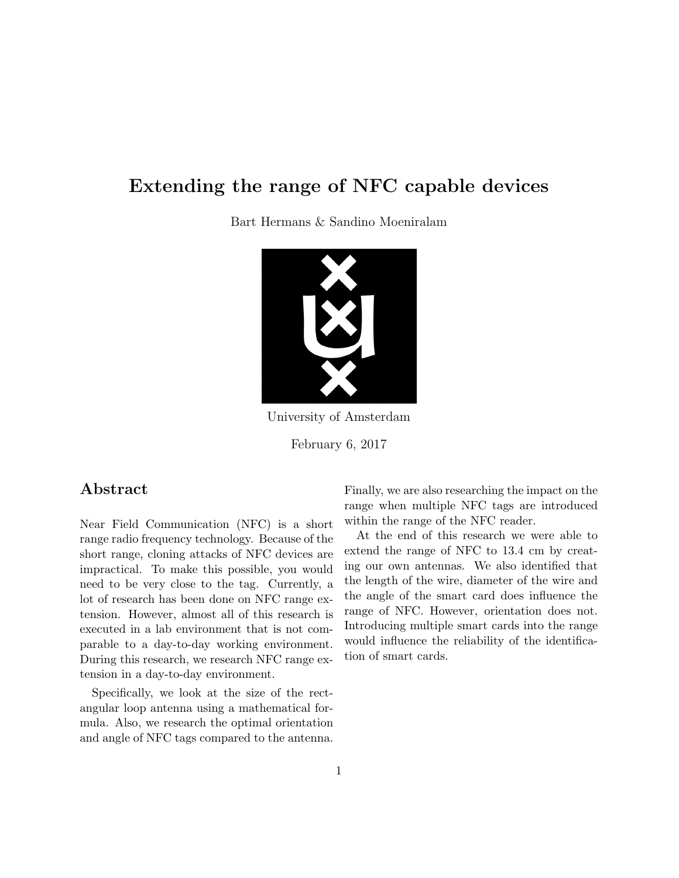# Extending the range of NFC capable devices

Bart Hermans & Sandino Moeniralam



University of Amsterdam

February 6, 2017

## Abstract

Near Field Communication (NFC) is a short range radio frequency technology. Because of the short range, cloning attacks of NFC devices are impractical. To make this possible, you would need to be very close to the tag. Currently, a lot of research has been done on NFC range extension. However, almost all of this research is executed in a lab environment that is not comparable to a day-to-day working environment. During this research, we research NFC range extension in a day-to-day environment.

Specifically, we look at the size of the rectangular loop antenna using a mathematical formula. Also, we research the optimal orientation and angle of NFC tags compared to the antenna. Finally, we are also researching the impact on the range when multiple NFC tags are introduced within the range of the NFC reader.

At the end of this research we were able to extend the range of NFC to 13.4 cm by creating our own antennas. We also identified that the length of the wire, diameter of the wire and the angle of the smart card does influence the range of NFC. However, orientation does not. Introducing multiple smart cards into the range would influence the reliability of the identification of smart cards.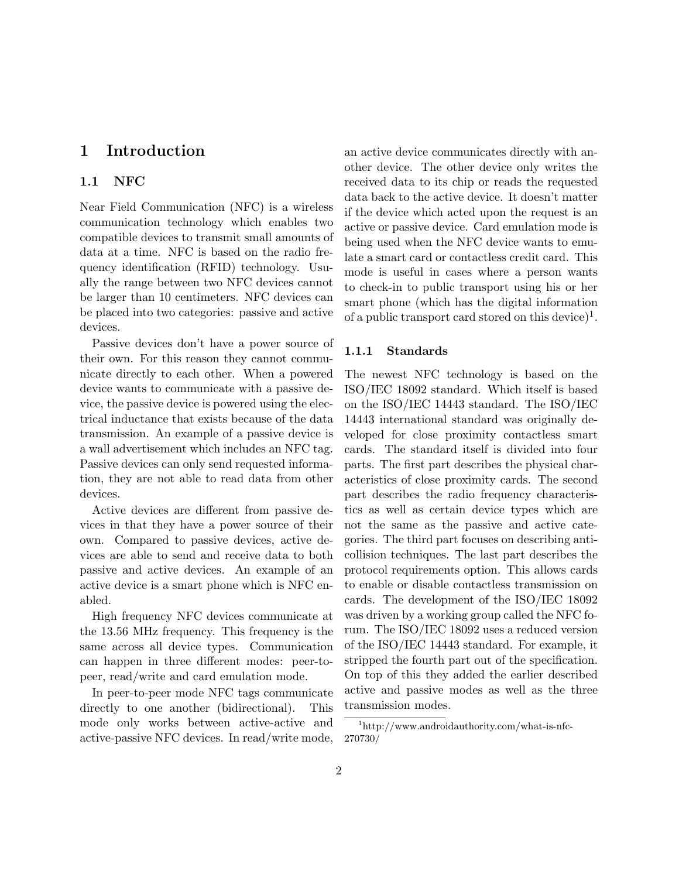## <span id="page-1-1"></span>1 Introduction

### 1.1 NFC

Near Field Communication (NFC) is a wireless communication technology which enables two compatible devices to transmit small amounts of data at a time. NFC is based on the radio frequency identification (RFID) technology. Usually the range between two NFC devices cannot be larger than 10 centimeters. NFC devices can be placed into two categories: passive and active devices.

Passive devices don't have a power source of their own. For this reason they cannot communicate directly to each other. When a powered device wants to communicate with a passive device, the passive device is powered using the electrical inductance that exists because of the data transmission. An example of a passive device is a wall advertisement which includes an NFC tag. Passive devices can only send requested information, they are not able to read data from other devices.

Active devices are different from passive devices in that they have a power source of their own. Compared to passive devices, active devices are able to send and receive data to both passive and active devices. An example of an active device is a smart phone which is NFC enabled.

High frequency NFC devices communicate at the 13.56 MHz frequency. This frequency is the same across all device types. Communication can happen in three different modes: peer-topeer, read/write and card emulation mode.

In peer-to-peer mode NFC tags communicate directly to one another (bidirectional). This mode only works between active-active and active-passive NFC devices. In read/write mode,

an active device communicates directly with another device. The other device only writes the received data to its chip or reads the requested data back to the active device. It doesn't matter if the device which acted upon the request is an active or passive device. Card emulation mode is being used when the NFC device wants to emulate a smart card or contactless credit card. This mode is useful in cases where a person wants to check-in to public transport using his or her smart phone (which has the digital information of a public transport card stored on this device)<sup>[1](#page-1-0)</sup>.

### 1.1.1 Standards

The newest NFC technology is based on the ISO/IEC 18092 standard. Which itself is based on the ISO/IEC 14443 standard. The ISO/IEC 14443 international standard was originally developed for close proximity contactless smart cards. The standard itself is divided into four parts. The first part describes the physical characteristics of close proximity cards. The second part describes the radio frequency characteristics as well as certain device types which are not the same as the passive and active categories. The third part focuses on describing anticollision techniques. The last part describes the protocol requirements option. This allows cards to enable or disable contactless transmission on cards. The development of the ISO/IEC 18092 was driven by a working group called the NFC forum. The ISO/IEC 18092 uses a reduced version of the ISO/IEC 14443 standard. For example, it stripped the fourth part out of the specification. On top of this they added the earlier described active and passive modes as well as the three transmission modes.

<span id="page-1-0"></span><sup>1</sup>http://www.androidauthority.com/what-is-nfc-270730/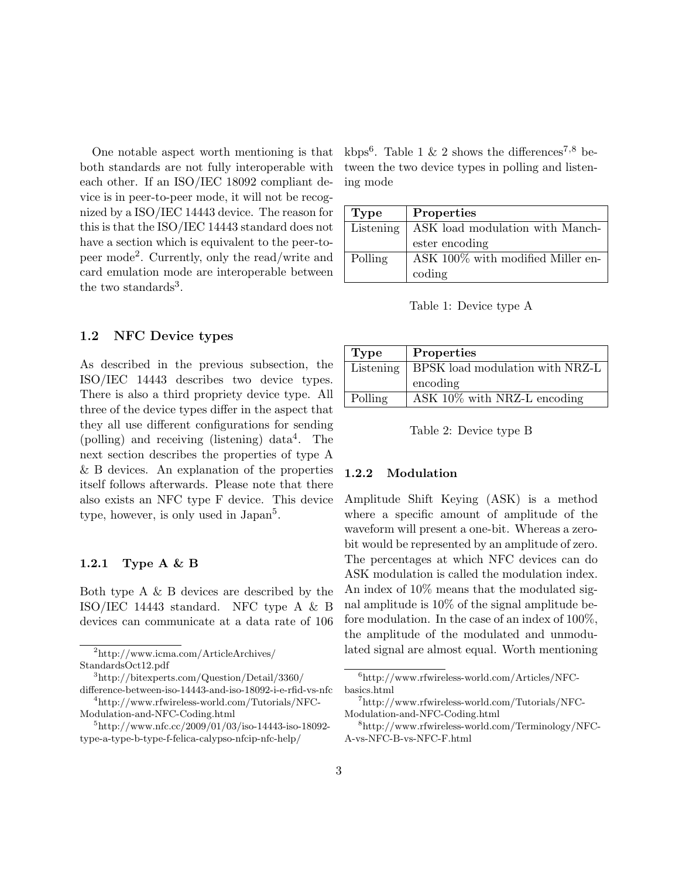One notable aspect worth mentioning is that both standards are not fully interoperable with each other. If an ISO/IEC 18092 compliant device is in peer-to-peer mode, it will not be recognized by a ISO/IEC 14443 device. The reason for this is that the ISO/IEC 14443 standard does not have a section which is equivalent to the peer-topeer mode[2](#page-2-0) . Currently, only the read/write and card emulation mode are interoperable between the two standards<sup>[3](#page-2-1)</sup>.

### 1.2 NFC Device types

As described in the previous subsection, the ISO/IEC 14443 describes two device types. There is also a third propriety device type. All three of the device types differ in the aspect that they all use different configurations for sending (polling) and receiving (listening) data[4](#page-2-2) . The next section describes the properties of type A & B devices. An explanation of the properties itself follows afterwards. Please note that there also exists an NFC type F device. This device type, however, is only used in Japan<sup>[5](#page-2-3)</sup>.

#### <span id="page-2-9"></span>1.2.1 Type A & B

Both type A & B devices are described by the ISO/IEC 14443 standard. NFC type A & B devices can communicate at a data rate of 106

<span id="page-2-0"></span><sup>2</sup>http://www.icma.com/ArticleArchives/ StandardsOct12.pdf

<span id="page-2-2"></span>difference-between-iso-14443-and-iso-18092-i-e-rfid-vs-nfc <sup>4</sup>http://www.rfwireless-world.com/Tutorials/NFC-

Modulation-and-NFC-Coding.html

kbps<sup>[6](#page-2-4)</sup>. Table [1](#page-2-5) & [2](#page-2-6) shows the differences<sup>[7](#page-2-7),[8](#page-2-8)</sup> between the two device types in polling and listening mode

| Type      | Properties                        |
|-----------|-----------------------------------|
| Listening | ASK load modulation with Manch-   |
|           | ester encoding                    |
| Polling   | ASK 100% with modified Miller en- |
|           | coding                            |

<span id="page-2-5"></span>Table 1: Device type A

| <b>Type</b> | Properties                      |
|-------------|---------------------------------|
| Listening   | BPSK load modulation with NRZ-L |
|             | encoding                        |
| Polling     | ASK $10\%$ with NRZ-L encoding  |

<span id="page-2-6"></span>Table 2: Device type B

### 1.2.2 Modulation

Amplitude Shift Keying (ASK) is a method where a specific amount of amplitude of the waveform will present a one-bit. Whereas a zerobit would be represented by an amplitude of zero. The percentages at which NFC devices can do ASK modulation is called the modulation index. An index of 10% means that the modulated signal amplitude is 10% of the signal amplitude before modulation. In the case of an index of 100%, the amplitude of the modulated and unmodulated signal are almost equal. Worth mentioning

<span id="page-2-1"></span><sup>3</sup>http://bitexperts.com/Question/Detail/3360/

<span id="page-2-3"></span> $5$ http://www.nfc.cc/2009/01/03/iso-14443-iso-18092type-a-type-b-type-f-felica-calypso-nfcip-nfc-help/

<span id="page-2-4"></span> $6$ http://www.rfwireless-world.com/Articles/NFCbasics.html

<span id="page-2-7"></span><sup>7</sup>http://www.rfwireless-world.com/Tutorials/NFC-Modulation-and-NFC-Coding.html

<span id="page-2-8"></span><sup>8</sup>http://www.rfwireless-world.com/Terminology/NFC-A-vs-NFC-B-vs-NFC-F.html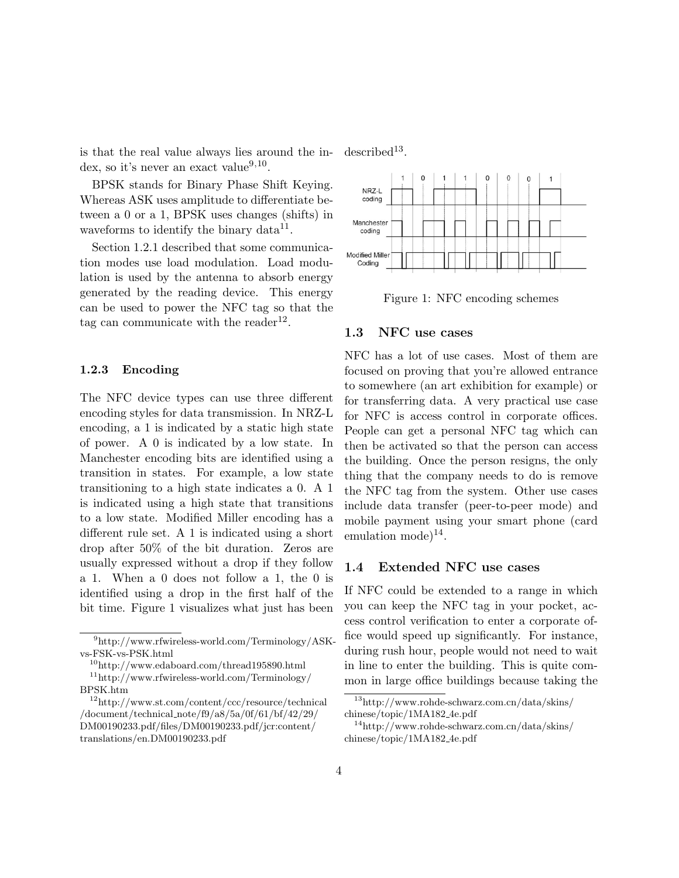is that the real value always lies around the in-dex, so it's never an exact value<sup>[9](#page-3-0),[10](#page-3-1)</sup>.

BPSK stands for Binary Phase Shift Keying. Whereas ASK uses amplitude to differentiate between a 0 or a 1, BPSK uses changes (shifts) in waveforms to identify the binary data $^{11}$  $^{11}$  $^{11}$ .

Section [1.2.1](#page-2-9) described that some communication modes use load modulation. Load modulation is used by the antenna to absorb energy generated by the reading device. This energy can be used to power the NFC tag so that the tag can communicate with the reader<sup>[12](#page-3-3)</sup>.

#### 1.2.3 Encoding

The NFC device types can use three different encoding styles for data transmission. In NRZ-L encoding, a 1 is indicated by a static high state of power. A 0 is indicated by a low state. In Manchester encoding bits are identified using a transition in states. For example, a low state transitioning to a high state indicates a 0. A 1 is indicated using a high state that transitions to a low state. Modified Miller encoding has a different rule set. A 1 is indicated using a short drop after 50% of the bit duration. Zeros are usually expressed without a drop if they follow a 1. When a 0 does not follow a 1, the 0 is identified using a drop in the first half of the bit time. Figure [1](#page-3-4) visualizes what just has been

 $described^{13}$  $described^{13}$  $described^{13}$ .



<span id="page-3-4"></span>Figure 1: NFC encoding schemes

#### 1.3 NFC use cases

NFC has a lot of use cases. Most of them are focused on proving that you're allowed entrance to somewhere (an art exhibition for example) or for transferring data. A very practical use case for NFC is access control in corporate offices. People can get a personal NFC tag which can then be activated so that the person can access the building. Once the person resigns, the only thing that the company needs to do is remove the NFC tag from the system. Other use cases include data transfer (peer-to-peer mode) and mobile payment using your smart phone (card emulation mode) $^{14}$  $^{14}$  $^{14}$ .

#### 1.4 Extended NFC use cases

If NFC could be extended to a range in which you can keep the NFC tag in your pocket, access control verification to enter a corporate office would speed up significantly. For instance, during rush hour, people would not need to wait in line to enter the building. This is quite common in large office buildings because taking the

<span id="page-3-0"></span><sup>9</sup>http://www.rfwireless-world.com/Terminology/ASKvs-FSK-vs-PSK.html

<span id="page-3-2"></span><span id="page-3-1"></span> $\rm ^{10}$  http://www.edaboard.com/thread195890.html  $\rm ^{11}http://www.rfwireless-world.com/Terminology/$ 

BPSK.htm

<span id="page-3-3"></span><sup>12</sup>http://www.st.com/content/ccc/resource/technical /document/technical note/f9/a8/5a/0f/61/bf/42/29/ DM00190233.pdf/files/DM00190233.pdf/jcr:content/ translations/en.DM00190233.pdf

<span id="page-3-5"></span><sup>13</sup>http://www.rohde-schwarz.com.cn/data/skins/ chinese/topic/1MA182 4e.pdf

<span id="page-3-6"></span><sup>14</sup>http://www.rohde-schwarz.com.cn/data/skins/ chinese/topic/1MA182 4e.pdf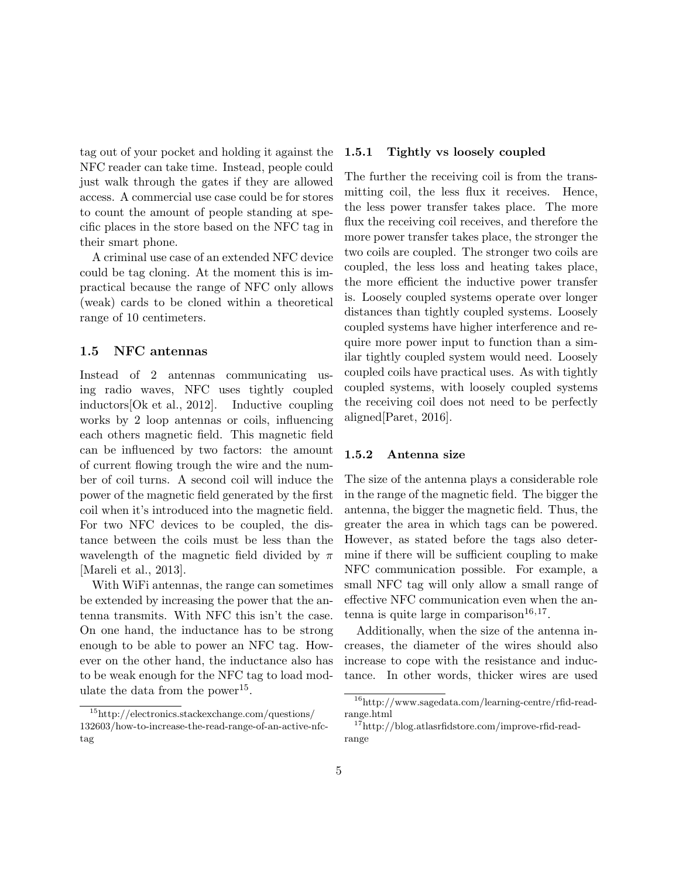tag out of your pocket and holding it against the NFC reader can take time. Instead, people could just walk through the gates if they are allowed access. A commercial use case could be for stores to count the amount of people standing at specific places in the store based on the NFC tag in their smart phone.

A criminal use case of an extended NFC device could be tag cloning. At the moment this is impractical because the range of NFC only allows (weak) cards to be cloned within a theoretical range of 10 centimeters.

### <span id="page-4-4"></span>1.5 NFC antennas

Instead of 2 antennas communicating using radio waves, NFC uses tightly coupled inductors[\[Ok et al., 2012\]](#page-17-0). Inductive coupling works by 2 loop antennas or coils, influencing each others magnetic field. This magnetic field can be influenced by two factors: the amount of current flowing trough the wire and the number of coil turns. A second coil will induce the power of the magnetic field generated by the first coil when it's introduced into the magnetic field. For two NFC devices to be coupled, the distance between the coils must be less than the wavelength of the magnetic field divided by  $\pi$ [\[Mareli et al., 2013\]](#page-17-1).

With WiFi antennas, the range can sometimes be extended by increasing the power that the antenna transmits. With NFC this isn't the case. On one hand, the inductance has to be strong enough to be able to power an NFC tag. However on the other hand, the inductance also has to be weak enough for the NFC tag to load mod-ulate the data from the power<sup>[15](#page-4-0)</sup>.

#### 1.5.1 Tightly vs loosely coupled

The further the receiving coil is from the transmitting coil, the less flux it receives. Hence, the less power transfer takes place. The more flux the receiving coil receives, and therefore the more power transfer takes place, the stronger the two coils are coupled. The stronger two coils are coupled, the less loss and heating takes place, the more efficient the inductive power transfer is. Loosely coupled systems operate over longer distances than tightly coupled systems. Loosely coupled systems have higher interference and require more power input to function than a similar tightly coupled system would need. Loosely coupled coils have practical uses. As with tightly coupled systems, with loosely coupled systems the receiving coil does not need to be perfectly aligned[\[Paret, 2016\]](#page-17-2).

#### <span id="page-4-3"></span>1.5.2 Antenna size

The size of the antenna plays a considerable role in the range of the magnetic field. The bigger the antenna, the bigger the magnetic field. Thus, the greater the area in which tags can be powered. However, as stated before the tags also determine if there will be sufficient coupling to make NFC communication possible. For example, a small NFC tag will only allow a small range of effective NFC communication even when the an-tenna is quite large in comparison<sup>[16](#page-4-1),[17](#page-4-2)</sup>.

Additionally, when the size of the antenna increases, the diameter of the wires should also increase to cope with the resistance and inductance. In other words, thicker wires are used

<span id="page-4-0"></span><sup>15</sup>http://electronics.stackexchange.com/questions/ 132603/how-to-increase-the-read-range-of-an-active-nfctag

<span id="page-4-1"></span><sup>16</sup>http://www.sagedata.com/learning-centre/rfid-readrange.html

<span id="page-4-2"></span><sup>17</sup>http://blog.atlasrfidstore.com/improve-rfid-readrange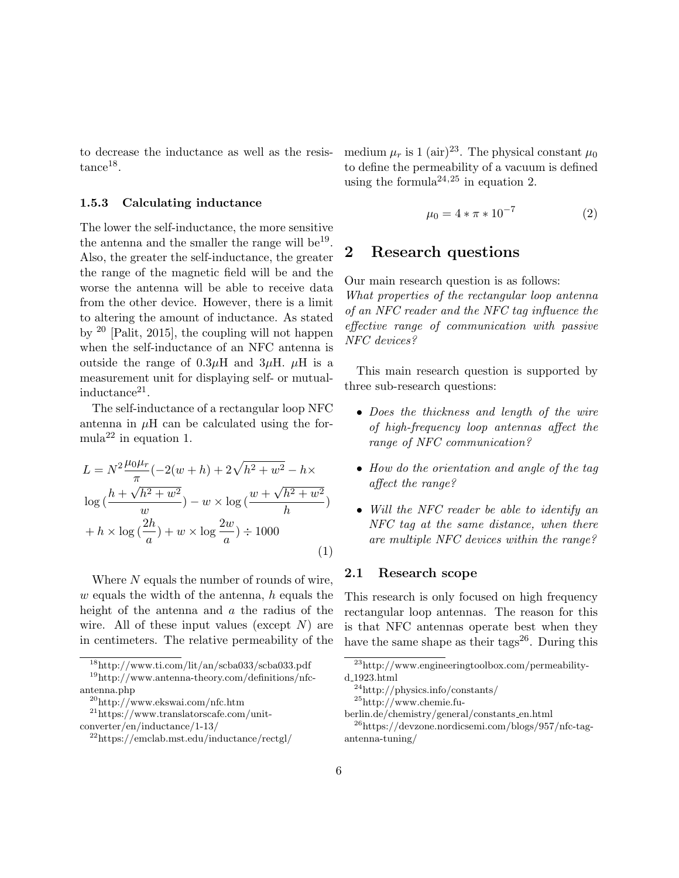to decrease the inductance as well as the resis- $tance^{18}$  $tance^{18}$  $tance^{18}$ .

#### <span id="page-5-12"></span>1.5.3 Calculating inductance

The lower the self-inductance, the more sensitive the antenna and the smaller the range will be<sup>[19](#page-5-1)</sup>. Also, the greater the self-inductance, the greater the range of the magnetic field will be and the worse the antenna will be able to receive data from the other device. However, there is a limit to altering the amount of inductance. As stated by [20](#page-5-2) [\[Palit, 2015\]](#page-17-3), the coupling will not happen when the self-inductance of an NFC antenna is outside the range of  $0.3\mu$ H and  $3\mu$ H.  $\mu$ H is a measurement unit for displaying self- or mutual-inductance<sup>[21](#page-5-3)</sup>.

The self-inductance of a rectangular loop NFC antenna in  $\mu$ H can be calculated using the for-mula<sup>[22](#page-5-4)</sup> in equation [1.](#page-5-5)

<span id="page-5-5"></span>
$$
L = N^{2} \frac{\mu_{0} \mu_{r}}{\pi} (-2(w+h) + 2\sqrt{h^{2} + w^{2}} - h \times
$$
  

$$
\log \left(\frac{h + \sqrt{h^{2} + w^{2}}}{w}\right) - w \times \log \left(\frac{w + \sqrt{h^{2} + w^{2}}}{h}\right)
$$
  

$$
+ h \times \log \left(\frac{2h}{a}\right) + w \times \log \frac{2w}{a} \right) \div 1000
$$
 (1)

Where  $N$  equals the number of rounds of wire,  $w$  equals the width of the antenna,  $h$  equals the height of the antenna and a the radius of the wire. All of these input values (except  $N$ ) are in centimeters. The relative permeability of the

<span id="page-5-1"></span><span id="page-5-0"></span> $\mathrm{^{18}http://www.ti.com/lit/an/scba033/scba033.pdf}$ <sup>19</sup>http://www.antenna-theory.com/definitions/nfc-

<span id="page-5-2"></span><sup>20</sup>http://www.ekswai.com/nfc.htm

<span id="page-5-3"></span><sup>21</sup>https://www.translatorscafe.com/unit-

<span id="page-5-9"></span>medium  $\mu_r$  is 1 (air)<sup>[23](#page-5-6)</sup>. The physical constant  $\mu_0$ to define the permeability of a vacuum is defined using the formula<sup>[24](#page-5-7),[25](#page-5-8)</sup> in equation [2.](#page-5-9)

$$
\mu_0 = 4 * \pi * 10^{-7} \tag{2}
$$

## <span id="page-5-11"></span>2 Research questions

Our main research question is as follows: What properties of the rectangular loop antenna of an NFC reader and the NFC tag influence the effective range of communication with passive NFC devices?

This main research question is supported by three sub-research questions:

- Does the thickness and length of the wire of high-frequency loop antennas affect the range of NFC communication?
- How do the orientation and angle of the tag affect the range?
- Will the NFC reader be able to identify an NFC tag at the same distance, when there are multiple NFC devices within the range?

### 2.1 Research scope

This research is only focused on high frequency rectangular loop antennas. The reason for this is that NFC antennas operate best when they have the same shape as their tags<sup>[26](#page-5-10)</sup>. During this

antenna.php

converter/en/inductance/1-13/

<span id="page-5-4"></span><sup>22</sup>https://emclab.mst.edu/inductance/rectgl/

<span id="page-5-6"></span> $^{23}$ http://www.engineeringtoolbox.com/permeabilityd 1923.html

<span id="page-5-7"></span><sup>24</sup>http://physics.info/constants/

<span id="page-5-8"></span> $^{25}$ http://www.chemie.fu-

<span id="page-5-10"></span>berlin.de/chemistry/general/constants en.html <sup>26</sup>https://devzone.nordicsemi.com/blogs/957/nfc-tagantenna-tuning/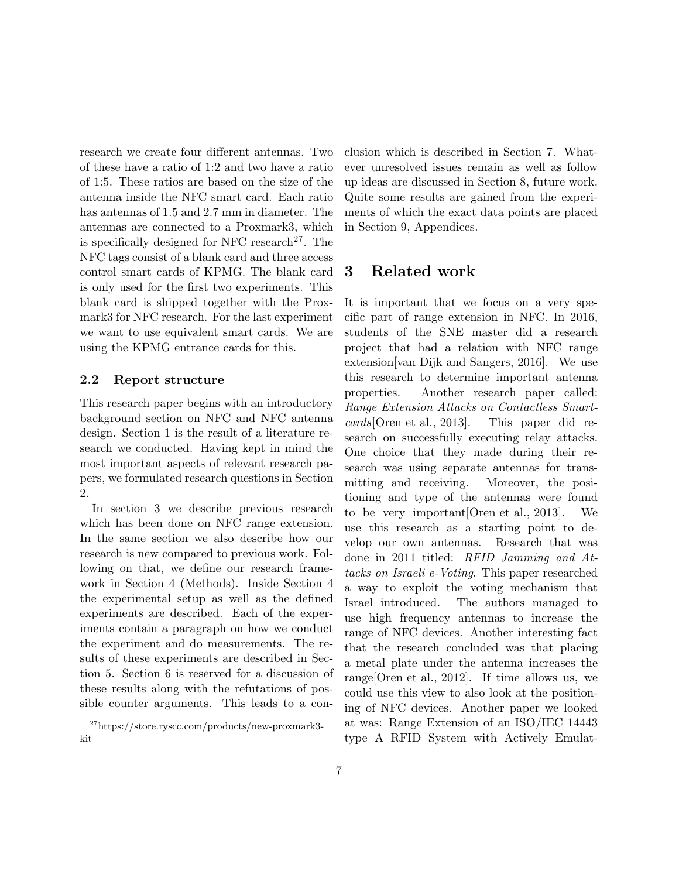research we create four different antennas. Two of these have a ratio of 1:2 and two have a ratio of 1:5. These ratios are based on the size of the antenna inside the NFC smart card. Each ratio has antennas of 1.5 and 2.7 mm in diameter. The antennas are connected to a Proxmark3, which is specifically designed for NFC research<sup>[27](#page-6-0)</sup>. The NFC tags consist of a blank card and three access control smart cards of KPMG. The blank card is only used for the first two experiments. This blank card is shipped together with the Proxmark3 for NFC research. For the last experiment we want to use equivalent smart cards. We are using the KPMG entrance cards for this.

### 2.2 Report structure

This research paper begins with an introductory background section on NFC and NFC antenna design. Section [1](#page-1-1) is the result of a literature research we conducted. Having kept in mind the most important aspects of relevant research papers, we formulated research questions in Section [2.](#page-5-11)

In section [3](#page-6-1) we describe previous research which has been done on NFC range extension. In the same section we also describe how our research is new compared to previous work. Following on that, we define our research framework in Section [4](#page-7-0) (Methods). Inside Section [4](#page-7-0) the experimental setup as well as the defined experiments are described. Each of the experiments contain a paragraph on how we conduct the experiment and do measurements. The results of these experiments are described in Section [5.](#page-11-0) Section [6](#page-14-0) is reserved for a discussion of these results along with the refutations of possible counter arguments. This leads to a conclusion which is described in Section [7.](#page-15-0) Whatever unresolved issues remain as well as follow up ideas are discussed in Section [8,](#page-16-0) future work. Quite some results are gained from the experiments of which the exact data points are placed in Section [9,](#page-17-4) Appendices.

### <span id="page-6-1"></span>3 Related work

It is important that we focus on a very specific part of range extension in NFC. In 2016, students of the SNE master did a research project that had a relation with NFC range extension[\[van Dijk and Sangers, 2016\]](#page-17-5). We use this research to determine important antenna properties. Another research paper called: Range Extension Attacks on Contactless Smartcards[\[Oren et al., 2013\]](#page-17-6). This paper did research on successfully executing relay attacks. One choice that they made during their research was using separate antennas for transmitting and receiving. Moreover, the positioning and type of the antennas were found to be very important[\[Oren et al., 2013\]](#page-17-6). We use this research as a starting point to develop our own antennas. Research that was done in 2011 titled: RFID Jamming and Attacks on Israeli e-Voting. This paper researched a way to exploit the voting mechanism that Israel introduced. The authors managed to use high frequency antennas to increase the range of NFC devices. Another interesting fact that the research concluded was that placing a metal plate under the antenna increases the range[\[Oren et al., 2012\]](#page-17-7). If time allows us, we could use this view to also look at the positioning of NFC devices. Another paper we looked at was: Range Extension of an ISO/IEC 14443 type A RFID System with Actively Emulat-

<span id="page-6-0"></span><sup>27</sup>https://store.ryscc.com/products/new-proxmark3 kit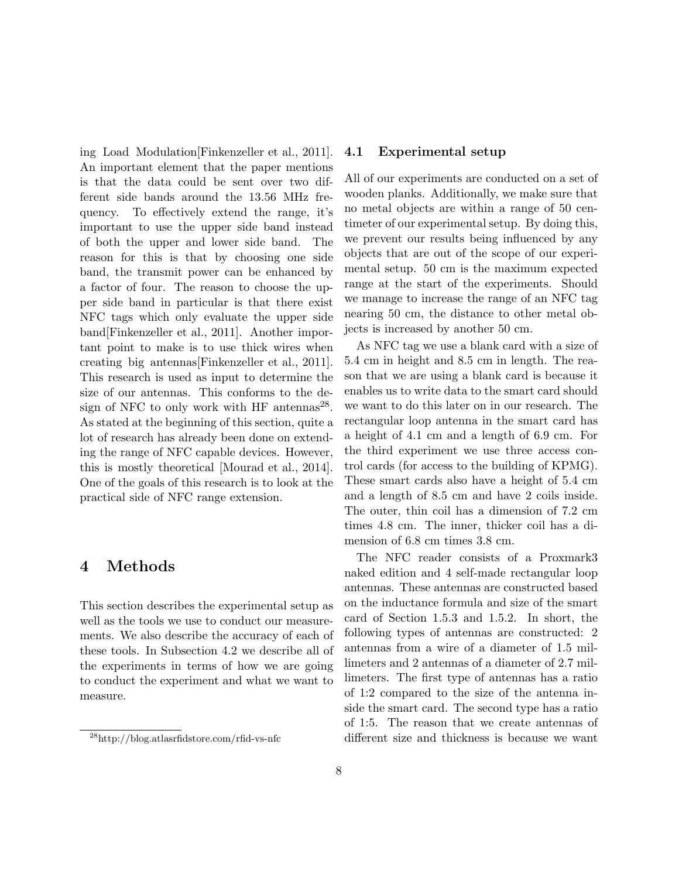ing Load Modulation[\[Finkenzeller et al., 2011\]](#page-17-8). An important element that the paper mentions is that the data could be sent over two different side bands around the 13.56 MHz frequency. To effectively extend the range, it's important to use the upper side band instead of both the upper and lower side band. The reason for this is that by choosing one side band, the transmit power can be enhanced by a factor of four. The reason to choose the upper side band in particular is that there exist NFC tags which only evaluate the upper side band[\[Finkenzeller et al., 2011\]](#page-17-8). Another important point to make is to use thick wires when creating big antennas[\[Finkenzeller et al., 2011\]](#page-17-8). This research is used as input to determine the size of our antennas. This conforms to the de-sign of NFC to only work with HF antennas<sup>[28](#page-7-1)</sup>. As stated at the beginning of this section, quite a lot of research has already been done on extending the range of NFC capable devices. However, this is mostly theoretical [\[Mourad et al., 2014\]](#page-17-9). One of the goals of this research is to look at the practical side of NFC range extension.

## <span id="page-7-0"></span>4 Methods

This section describes the experimental setup as well as the tools we use to conduct our measurements. We also describe the accuracy of each of these tools. In Subsection [4.2](#page-8-0) we describe all of the experiments in terms of how we are going to conduct the experiment and what we want to measure.

### 4.1 Experimental setup

All of our experiments are conducted on a set of wooden planks. Additionally, we make sure that no metal objects are within a range of 50 centimeter of our experimental setup. By doing this, we prevent our results being influenced by any objects that are out of the scope of our experimental setup. 50 cm is the maximum expected range at the start of the experiments. Should we manage to increase the range of an NFC tag nearing 50 cm, the distance to other metal objects is increased by another 50 cm.

As NFC tag we use a blank card with a size of 5.4 cm in height and 8.5 cm in length. The reason that we are using a blank card is because it enables us to write data to the smart card should we want to do this later on in our research. The rectangular loop antenna in the smart card has a height of 4.1 cm and a length of 6.9 cm. For the third experiment we use three access control cards (for access to the building of KPMG). These smart cards also have a height of 5.4 cm and a length of 8.5 cm and have 2 coils inside. The outer, thin coil has a dimension of 7.2 cm times 4.8 cm. The inner, thicker coil has a dimension of 6.8 cm times 3.8 cm.

The NFC reader consists of a Proxmark3 naked edition and 4 self-made rectangular loop antennas. These antennas are constructed based on the inductance formula and size of the smart card of Section [1.5.3](#page-5-12) and [1.5.2.](#page-4-3) In short, the following types of antennas are constructed: 2 antennas from a wire of a diameter of 1.5 millimeters and 2 antennas of a diameter of 2.7 millimeters. The first type of antennas has a ratio of 1:2 compared to the size of the antenna inside the smart card. The second type has a ratio of 1:5. The reason that we create antennas of different size and thickness is because we want

<span id="page-7-1"></span><sup>28</sup>http://blog.atlasrfidstore.com/rfid-vs-nfc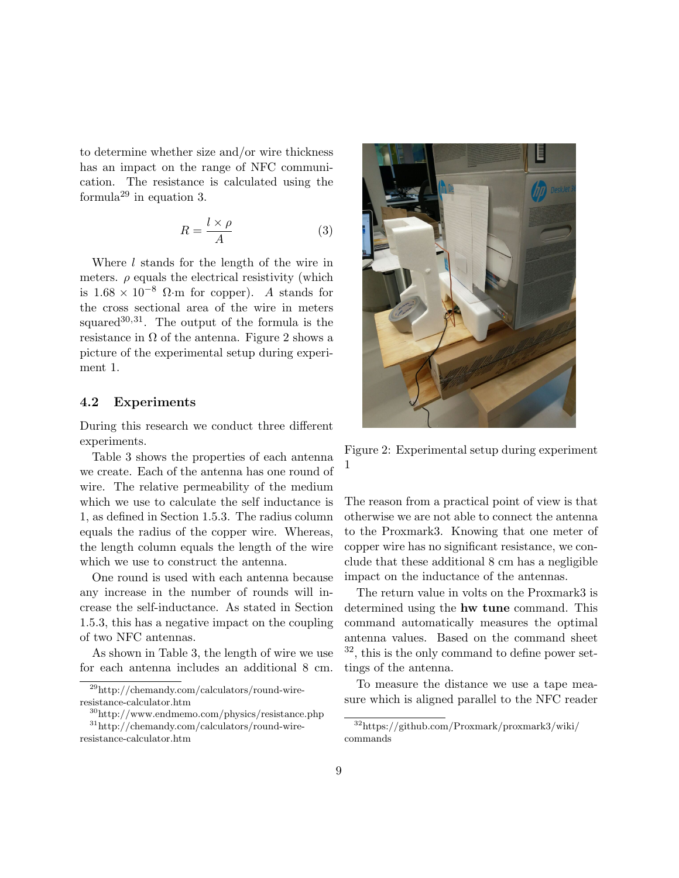to determine whether size and/or wire thickness has an impact on the range of NFC communication. The resistance is calculated using the formula<sup>[29](#page-8-1)</sup> in equation [3.](#page-8-2)

<span id="page-8-2"></span>
$$
R = \frac{l \times \rho}{A} \tag{3}
$$

Where *l* stands for the length of the wire in meters.  $\rho$  equals the electrical resistivity (which is  $1.68 \times 10^{-8}$  Ω⋅m for copper). A stands for the cross sectional area of the wire in meters squared $30,31$  $30,31$  $30,31$ . The output of the formula is the resistance in  $\Omega$  of the antenna. Figure [2](#page-8-5) shows a picture of the experimental setup during experiment 1.

### <span id="page-8-0"></span>4.2 Experiments

During this research we conduct three different experiments.

Table [3](#page-9-0) shows the properties of each antenna we create. Each of the antenna has one round of wire. The relative permeability of the medium which we use to calculate the self inductance is 1, as defined in Section [1.5.3.](#page-5-12) The radius column equals the radius of the copper wire. Whereas, the length column equals the length of the wire which we use to construct the antenna.

One round is used with each antenna because any increase in the number of rounds will increase the self-inductance. As stated in Section [1.5.3,](#page-5-12) this has a negative impact on the coupling of two NFC antennas.

As shown in Table [3,](#page-9-0) the length of wire we use for each antenna includes an additional 8 cm.



Figure 2: Experimental setup during experiment 1

<span id="page-8-5"></span>The reason from a practical point of view is that otherwise we are not able to connect the antenna to the Proxmark3. Knowing that one meter of copper wire has no significant resistance, we conclude that these additional 8 cm has a negligible impact on the inductance of the antennas.

The return value in volts on the Proxmark3 is determined using the hw tune command. This command automatically measures the optimal antenna values. Based on the command sheet  $32$ , this is the only command to define power settings of the antenna.

To measure the distance we use a tape measure which is aligned parallel to the NFC reader

<span id="page-8-1"></span><sup>29</sup>http://chemandy.com/calculators/round-wireresistance-calculator.htm

<span id="page-8-4"></span><span id="page-8-3"></span><sup>30</sup>http://www.endmemo.com/physics/resistance.php

<sup>31</sup>http://chemandy.com/calculators/round-wireresistance-calculator.htm

<span id="page-8-6"></span><sup>32</sup>https://github.com/Proxmark/proxmark3/wiki/ commands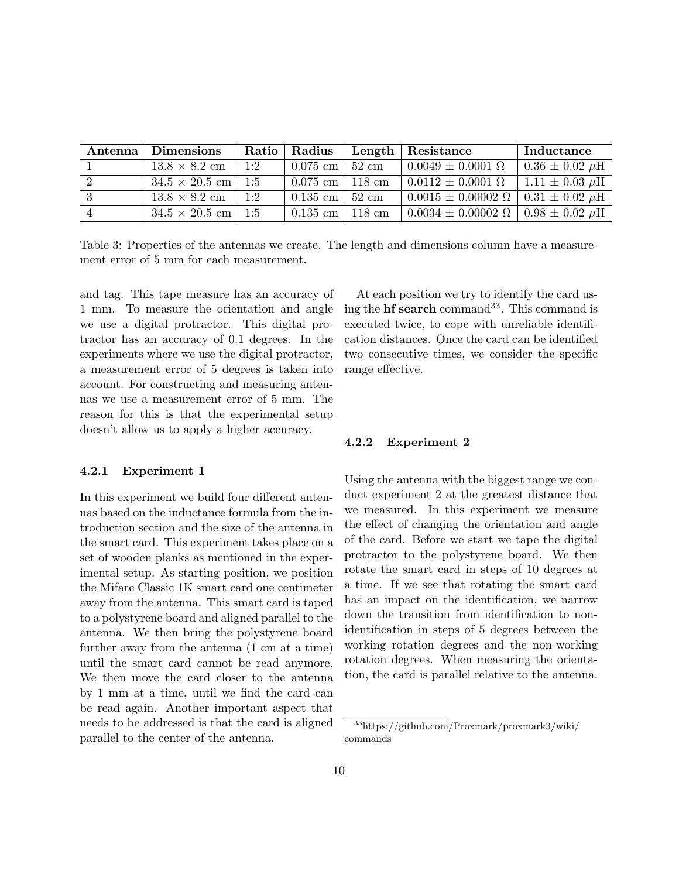| Antenna | <b>Dimensions</b>     | Ratio | Radius             |                  | Length   Resistance                                 | Inductance            |
|---------|-----------------------|-------|--------------------|------------------|-----------------------------------------------------|-----------------------|
|         | $13.8 \times 8.2$ cm  | 1:2   | $0.075$ cm $\vert$ | $+52$ cm         | $0.0049 \pm 0.0001 \Omega$                          | $0.36 \pm 0.02 \mu H$ |
|         | $34.5 \times 20.5$ cm | 1:5   | $0.075$ cm $\vert$ | $118 \text{ cm}$ | $0.0112 \pm 0.0001 \ \Omega$                        | $1.11 \pm 0.03 \mu H$ |
|         | $13.8 \times 8.2$ cm  | 1:2   | $0.135$ cm $\vert$ | 52 cm            | $0.0015 \pm 0.00002 \Omega$   $0.31 \pm 0.02 \mu$ H |                       |
|         | $34.5 \times 20.5$ cm | 1:5   | $0.135$ cm         | 118 cm           | $0.0034 \pm 0.00002 \Omega$   $0.98 \pm 0.02 \mu$ H |                       |

Table 3: Properties of the antennas we create. The length and dimensions column have a measurement error of 5 mm for each measurement.

and tag. This tape measure has an accuracy of 1 mm. To measure the orientation and angle we use a digital protractor. This digital protractor has an accuracy of 0.1 degrees. In the experiments where we use the digital protractor, a measurement error of 5 degrees is taken into account. For constructing and measuring antennas we use a measurement error of 5 mm. The reason for this is that the experimental setup doesn't allow us to apply a higher accuracy.

#### 4.2.1 Experiment 1

In this experiment we build four different antennas based on the inductance formula from the introduction section and the size of the antenna in the smart card. This experiment takes place on a set of wooden planks as mentioned in the experimental setup. As starting position, we position the Mifare Classic 1K smart card one centimeter away from the antenna. This smart card is taped to a polystyrene board and aligned parallel to the antenna. We then bring the polystyrene board further away from the antenna (1 cm at a time) until the smart card cannot be read anymore. We then move the card closer to the antenna by 1 mm at a time, until we find the card can be read again. Another important aspect that needs to be addressed is that the card is aligned parallel to the center of the antenna.

<span id="page-9-0"></span>At each position we try to identify the card using the  $\bf{hf}$  search command<sup>[33](#page-9-1)</sup>. This command is executed twice, to cope with unreliable identification distances. Once the card can be identified two consecutive times, we consider the specific range effective.

#### 4.2.2 Experiment 2

Using the antenna with the biggest range we conduct experiment 2 at the greatest distance that we measured. In this experiment we measure the effect of changing the orientation and angle of the card. Before we start we tape the digital protractor to the polystyrene board. We then rotate the smart card in steps of 10 degrees at a time. If we see that rotating the smart card has an impact on the identification, we narrow down the transition from identification to nonidentification in steps of 5 degrees between the working rotation degrees and the non-working rotation degrees. When measuring the orientation, the card is parallel relative to the antenna.

<span id="page-9-1"></span><sup>33</sup>https://github.com/Proxmark/proxmark3/wiki/ commands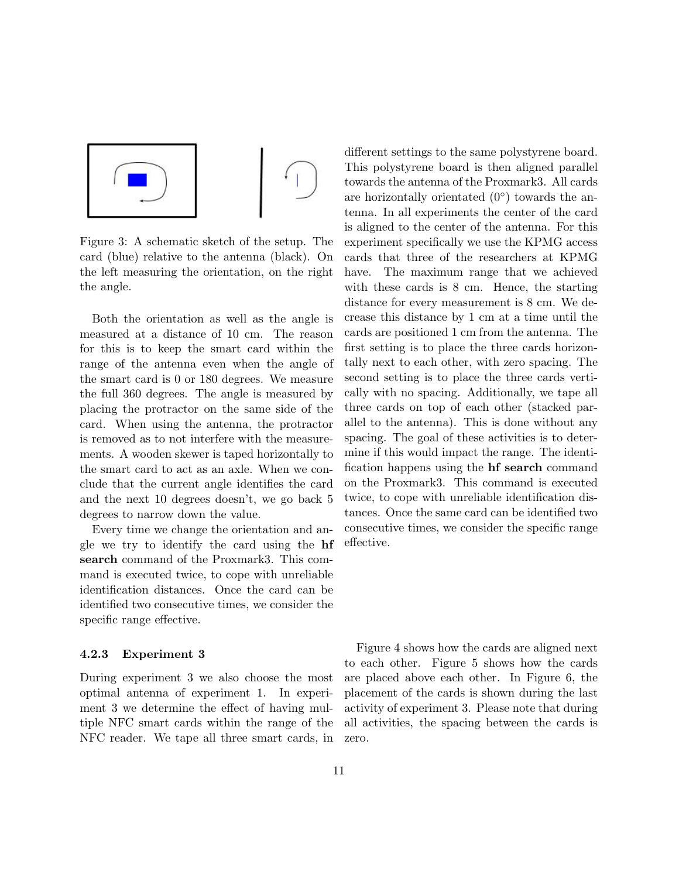

Figure 3: A schematic sketch of the setup. The card (blue) relative to the antenna (black). On the left measuring the orientation, on the right the angle.

Both the orientation as well as the angle is measured at a distance of 10 cm. The reason for this is to keep the smart card within the range of the antenna even when the angle of the smart card is 0 or 180 degrees. We measure the full 360 degrees. The angle is measured by placing the protractor on the same side of the card. When using the antenna, the protractor is removed as to not interfere with the measurements. A wooden skewer is taped horizontally to the smart card to act as an axle. When we conclude that the current angle identifies the card and the next 10 degrees doesn't, we go back 5 degrees to narrow down the value.

Every time we change the orientation and angle we try to identify the card using the hf search command of the Proxmark3. This command is executed twice, to cope with unreliable identification distances. Once the card can be identified two consecutive times, we consider the specific range effective.

#### 4.2.3 Experiment 3

During experiment 3 we also choose the most optimal antenna of experiment 1. In experiment 3 we determine the effect of having multiple NFC smart cards within the range of the NFC reader. We tape all three smart cards, in different settings to the same polystyrene board. This polystyrene board is then aligned parallel towards the antenna of the Proxmark3. All cards are horizontally orientated  $(0^{\circ})$  towards the antenna. In all experiments the center of the card is aligned to the center of the antenna. For this experiment specifically we use the KPMG access cards that three of the researchers at KPMG have. The maximum range that we achieved with these cards is 8 cm. Hence, the starting distance for every measurement is 8 cm. We decrease this distance by 1 cm at a time until the cards are positioned 1 cm from the antenna. The first setting is to place the three cards horizontally next to each other, with zero spacing. The second setting is to place the three cards vertically with no spacing. Additionally, we tape all three cards on top of each other (stacked parallel to the antenna). This is done without any spacing. The goal of these activities is to determine if this would impact the range. The identification happens using the hf search command on the Proxmark3. This command is executed twice, to cope with unreliable identification distances. Once the same card can be identified two consecutive times, we consider the specific range effective.

Figure [4](#page-11-1) shows how the cards are aligned next to each other. Figure [5](#page-11-2) shows how the cards are placed above each other. In Figure [6,](#page-11-3) the placement of the cards is shown during the last activity of experiment 3. Please note that during all activities, the spacing between the cards is zero.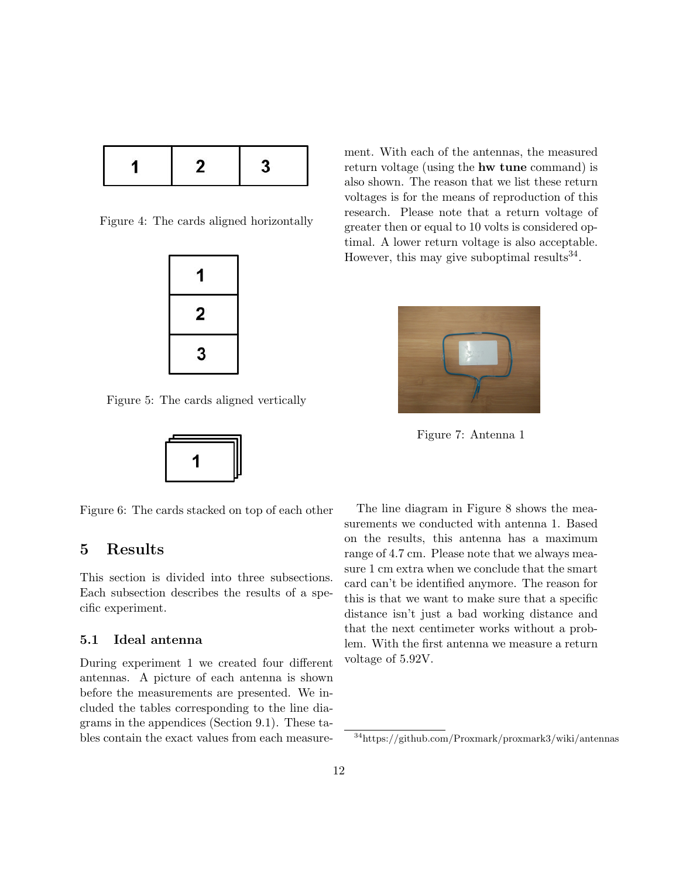|--|

Figure 4: The cards aligned horizontally



Figure 5: The cards aligned vertically

<span id="page-11-3"></span><span id="page-11-2"></span>

Figure 6: The cards stacked on top of each other

## <span id="page-11-0"></span>5 Results

This section is divided into three subsections. Each subsection describes the results of a specific experiment.

### 5.1 Ideal antenna

During experiment 1 we created four different antennas. A picture of each antenna is shown before the measurements are presented. We included the tables corresponding to the line diagrams in the appendices (Section [9.1\)](#page-17-10). These tables contain the exact values from each measure<span id="page-11-1"></span>ment. With each of the antennas, the measured return voltage (using the hw tune command) is also shown. The reason that we list these return voltages is for the means of reproduction of this research. Please note that a return voltage of greater then or equal to 10 volts is considered optimal. A lower return voltage is also acceptable. However, this may give suboptimal results  $34$ .



Figure 7: Antenna 1

The line diagram in Figure [8](#page-12-0) shows the measurements we conducted with antenna 1. Based on the results, this antenna has a maximum range of 4.7 cm. Please note that we always measure 1 cm extra when we conclude that the smart card can't be identified anymore. The reason for this is that we want to make sure that a specific distance isn't just a bad working distance and that the next centimeter works without a problem. With the first antenna we measure a return voltage of 5.92V.

<span id="page-11-4"></span><sup>34</sup>https://github.com/Proxmark/proxmark3/wiki/antennas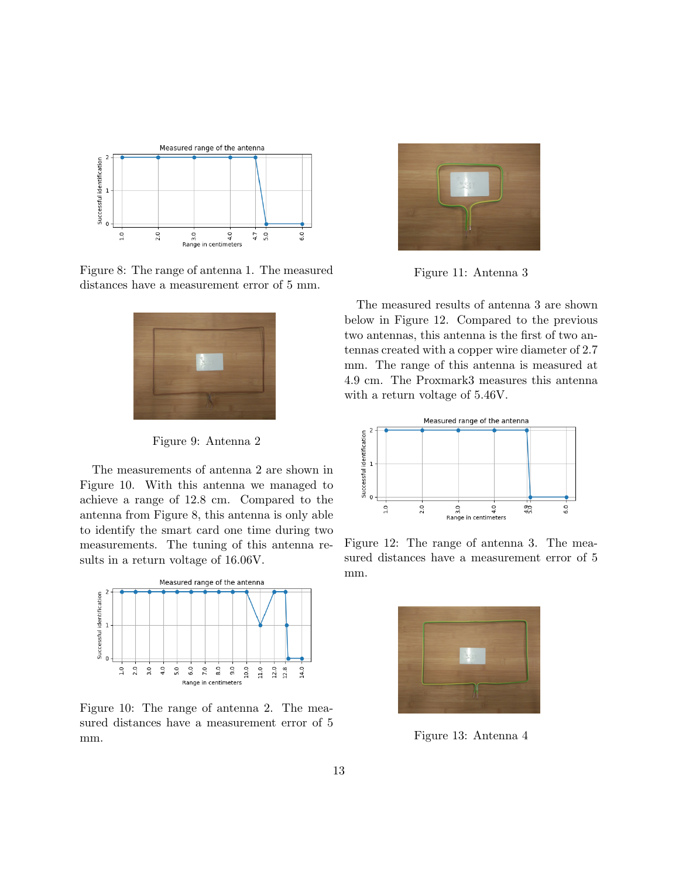

Figure 8: The range of antenna 1. The measured distances have a measurement error of 5 mm.



Figure 9: Antenna 2

The measurements of antenna 2 are shown in Figure [10.](#page-12-1) With this antenna we managed to achieve a range of 12.8 cm. Compared to the antenna from Figure [8,](#page-12-0) this antenna is only able to identify the smart card one time during two measurements. The tuning of this antenna results in a return voltage of 16.06V.



Figure 10: The range of antenna 2. The measured distances have a measurement error of 5 mm.



Figure 11: Antenna 3

<span id="page-12-0"></span>The measured results of antenna 3 are shown below in Figure [12.](#page-12-2) Compared to the previous two antennas, this antenna is the first of two antennas created with a copper wire diameter of 2.7 mm. The range of this antenna is measured at 4.9 cm. The Proxmark3 measures this antenna with a return voltage of 5.46V.



Figure 12: The range of antenna 3. The measured distances have a measurement error of 5 mm.

<span id="page-12-3"></span><span id="page-12-2"></span><span id="page-12-1"></span>

Figure 13: Antenna 4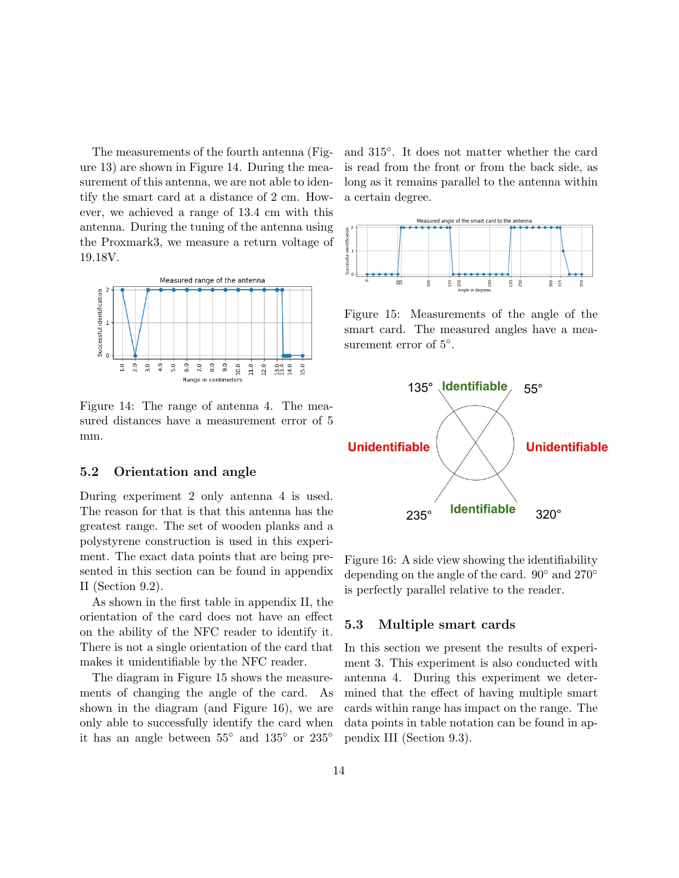The measurements of the fourth antenna (Figure [13\)](#page-12-3) are shown in Figure [14.](#page-13-0) During the measurement of this antenna, we are not able to identify the smart card at a distance of 2 cm. However, we achieved a range of 13.4 cm with this antenna. During the tuning of the antenna using the Proxmark3, we measure a return voltage of 19.18V.



Figure 14: The range of antenna 4. The measured distances have a measurement error of 5 mm.

### 5.2 Orientation and angle

During experiment 2 only antenna 4 is used. The reason for that is that this antenna has the greatest range. The set of wooden planks and a polystyrene construction is used in this experiment. The exact data points that are being presented in this section can be found in appendix II (Section [9.2\)](#page-19-0).

As shown in the first table in appendix II, the orientation of the card does not have an effect on the ability of the NFC reader to identify it. There is not a single orientation of the card that makes it unidentifiable by the NFC reader.

The diagram in Figure [15](#page-13-1) shows the measurements of changing the angle of the card. As shown in the diagram (and Figure [16\)](#page-13-2), we are only able to successfully identify the card when it has an angle between 55◦ and 135◦ or 235◦

and 315◦ . It does not matter whether the card is read from the front or from the back side, as long as it remains parallel to the antenna within a certain degree.



<span id="page-13-1"></span>Figure 15: Measurements of the angle of the smart card. The measured angles have a measurement error of  $5^\circ$ .

<span id="page-13-0"></span>

<span id="page-13-2"></span>Figure 16: A side view showing the identifiability depending on the angle of the card. 90◦ and 270◦ is perfectly parallel relative to the reader.

### 5.3 Multiple smart cards

In this section we present the results of experiment 3. This experiment is also conducted with antenna 4. During this experiment we determined that the effect of having multiple smart cards within range has impact on the range. The data points in table notation can be found in appendix III (Section [9.3\)](#page-20-0).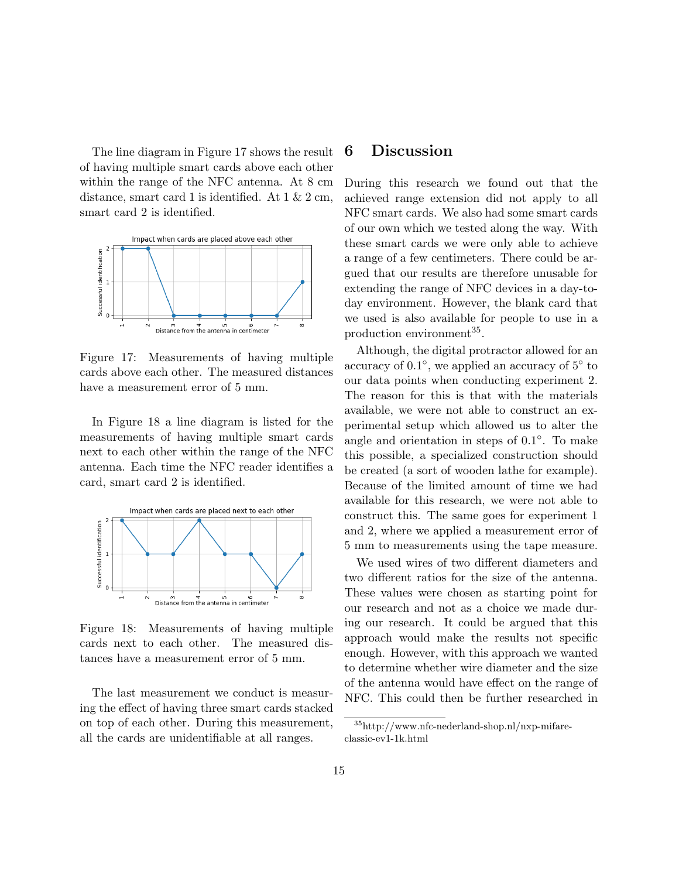The line diagram in Figure [17](#page-14-1) shows the result of having multiple smart cards above each other within the range of the NFC antenna. At 8 cm distance, smart card 1 is identified. At  $1 \& 2 \text{ cm}$ , smart card 2 is identified.



Figure 17: Measurements of having multiple cards above each other. The measured distances have a measurement error of 5 mm.

In Figure [18](#page-14-2) a line diagram is listed for the measurements of having multiple smart cards next to each other within the range of the NFC antenna. Each time the NFC reader identifies a card, smart card 2 is identified.



Figure 18: Measurements of having multiple cards next to each other. The measured distances have a measurement error of 5 mm.

The last measurement we conduct is measuring the effect of having three smart cards stacked on top of each other. During this measurement, all the cards are unidentifiable at all ranges.

## <span id="page-14-0"></span>6 Discussion

During this research we found out that the achieved range extension did not apply to all NFC smart cards. We also had some smart cards of our own which we tested along the way. With these smart cards we were only able to achieve a range of a few centimeters. There could be argued that our results are therefore unusable for extending the range of NFC devices in a day-today environment. However, the blank card that we used is also available for people to use in a production environment<sup>[35](#page-14-3)</sup>.

<span id="page-14-1"></span>Although, the digital protractor allowed for an accuracy of 0.1◦ , we applied an accuracy of 5◦ to our data points when conducting experiment 2. The reason for this is that with the materials available, we were not able to construct an experimental setup which allowed us to alter the angle and orientation in steps of 0.1◦ . To make this possible, a specialized construction should be created (a sort of wooden lathe for example). Because of the limited amount of time we had available for this research, we were not able to construct this. The same goes for experiment 1 and 2, where we applied a measurement error of 5 mm to measurements using the tape measure.

<span id="page-14-2"></span>We used wires of two different diameters and two different ratios for the size of the antenna. These values were chosen as starting point for our research and not as a choice we made during our research. It could be argued that this approach would make the results not specific enough. However, with this approach we wanted to determine whether wire diameter and the size of the antenna would have effect on the range of NFC. This could then be further researched in

<span id="page-14-3"></span><sup>35</sup>http://www.nfc-nederland-shop.nl/nxp-mifareclassic-ev1-1k.html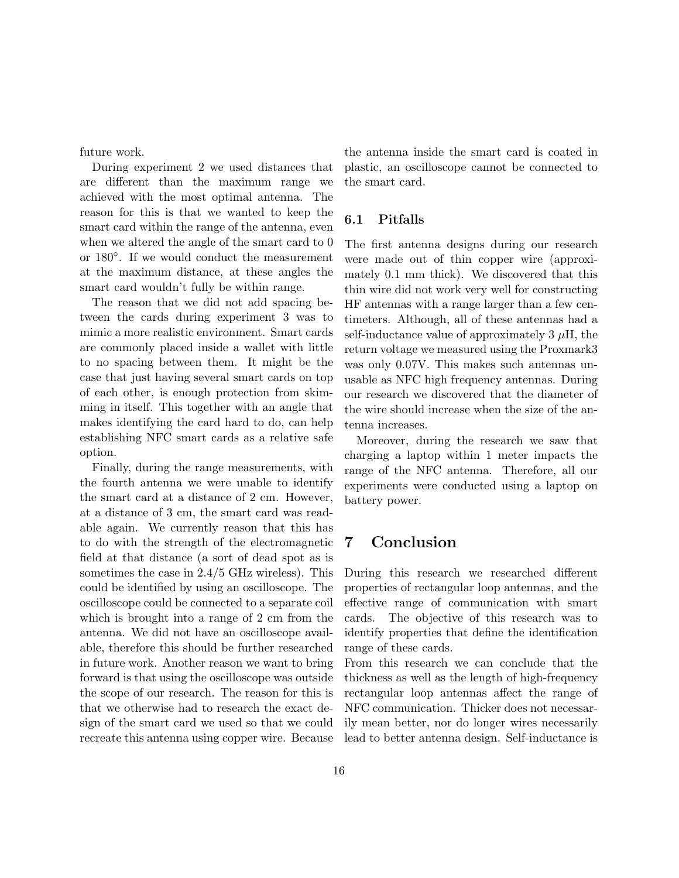future work.

During experiment 2 we used distances that are different than the maximum range we achieved with the most optimal antenna. The reason for this is that we wanted to keep the smart card within the range of the antenna, even when we altered the angle of the smart card to 0 or 180◦ . If we would conduct the measurement at the maximum distance, at these angles the smart card wouldn't fully be within range.

The reason that we did not add spacing between the cards during experiment 3 was to mimic a more realistic environment. Smart cards are commonly placed inside a wallet with little to no spacing between them. It might be the case that just having several smart cards on top of each other, is enough protection from skimming in itself. This together with an angle that makes identifying the card hard to do, can help establishing NFC smart cards as a relative safe option.

Finally, during the range measurements, with the fourth antenna we were unable to identify the smart card at a distance of 2 cm. However, at a distance of 3 cm, the smart card was readable again. We currently reason that this has to do with the strength of the electromagnetic field at that distance (a sort of dead spot as is sometimes the case in 2.4/5 GHz wireless). This could be identified by using an oscilloscope. The oscilloscope could be connected to a separate coil which is brought into a range of 2 cm from the antenna. We did not have an oscilloscope available, therefore this should be further researched in future work. Another reason we want to bring forward is that using the oscilloscope was outside the scope of our research. The reason for this is that we otherwise had to research the exact design of the smart card we used so that we could recreate this antenna using copper wire. Because the antenna inside the smart card is coated in plastic, an oscilloscope cannot be connected to the smart card.

### 6.1 Pitfalls

The first antenna designs during our research were made out of thin copper wire (approximately 0.1 mm thick). We discovered that this thin wire did not work very well for constructing HF antennas with a range larger than a few centimeters. Although, all of these antennas had a self-inductance value of approximately  $3 \mu$ H, the return voltage we measured using the Proxmark3 was only 0.07V. This makes such antennas unusable as NFC high frequency antennas. During our research we discovered that the diameter of the wire should increase when the size of the antenna increases.

Moreover, during the research we saw that charging a laptop within 1 meter impacts the range of the NFC antenna. Therefore, all our experiments were conducted using a laptop on battery power.

## <span id="page-15-0"></span>7 Conclusion

During this research we researched different properties of rectangular loop antennas, and the effective range of communication with smart cards. The objective of this research was to identify properties that define the identification range of these cards.

From this research we can conclude that the thickness as well as the length of high-frequency rectangular loop antennas affect the range of NFC communication. Thicker does not necessarily mean better, nor do longer wires necessarily lead to better antenna design. Self-inductance is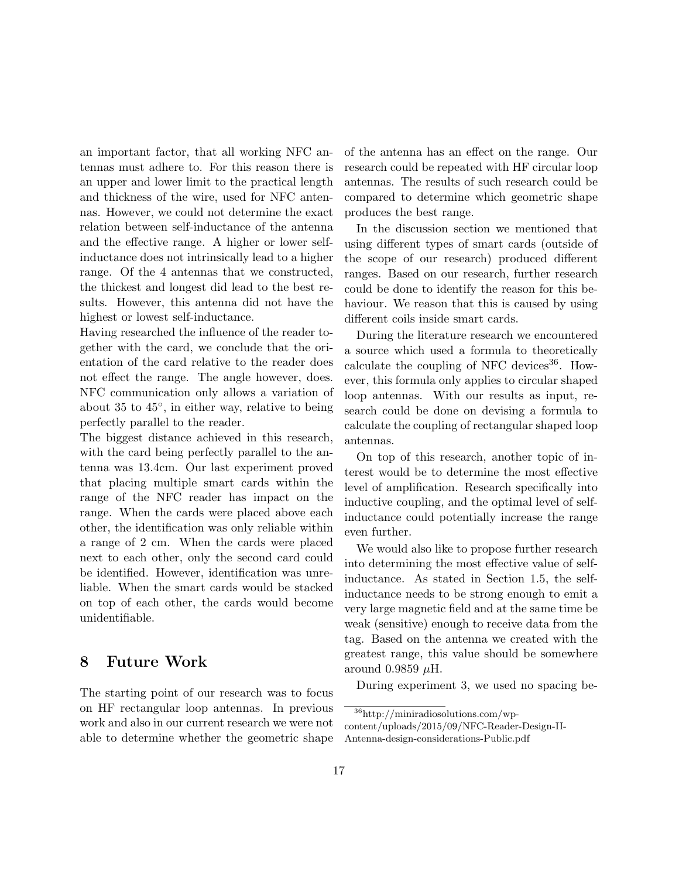an important factor, that all working NFC antennas must adhere to. For this reason there is an upper and lower limit to the practical length and thickness of the wire, used for NFC antennas. However, we could not determine the exact relation between self-inductance of the antenna and the effective range. A higher or lower selfinductance does not intrinsically lead to a higher range. Of the 4 antennas that we constructed, the thickest and longest did lead to the best results. However, this antenna did not have the highest or lowest self-inductance.

Having researched the influence of the reader together with the card, we conclude that the orientation of the card relative to the reader does not effect the range. The angle however, does. NFC communication only allows a variation of about 35 to 45◦ , in either way, relative to being perfectly parallel to the reader.

The biggest distance achieved in this research, with the card being perfectly parallel to the antenna was 13.4cm. Our last experiment proved that placing multiple smart cards within the range of the NFC reader has impact on the range. When the cards were placed above each other, the identification was only reliable within a range of 2 cm. When the cards were placed next to each other, only the second card could be identified. However, identification was unreliable. When the smart cards would be stacked on top of each other, the cards would become unidentifiable.

### <span id="page-16-0"></span>8 Future Work

The starting point of our research was to focus on HF rectangular loop antennas. In previous work and also in our current research we were not able to determine whether the geometric shape of the antenna has an effect on the range. Our research could be repeated with HF circular loop antennas. The results of such research could be compared to determine which geometric shape produces the best range.

In the discussion section we mentioned that using different types of smart cards (outside of the scope of our research) produced different ranges. Based on our research, further research could be done to identify the reason for this behaviour. We reason that this is caused by using different coils inside smart cards.

During the literature research we encountered a source which used a formula to theoretically calculate the coupling of NFC devices  $36$ . However, this formula only applies to circular shaped loop antennas. With our results as input, research could be done on devising a formula to calculate the coupling of rectangular shaped loop antennas.

On top of this research, another topic of interest would be to determine the most effective level of amplification. Research specifically into inductive coupling, and the optimal level of selfinductance could potentially increase the range even further.

We would also like to propose further research into determining the most effective value of selfinductance. As stated in Section [1.5,](#page-4-4) the selfinductance needs to be strong enough to emit a very large magnetic field and at the same time be weak (sensitive) enough to receive data from the tag. Based on the antenna we created with the greatest range, this value should be somewhere around 0.9859  $\mu$ H.

During experiment 3, we used no spacing be-

<span id="page-16-1"></span><sup>36</sup>http://miniradiosolutions.com/wpcontent/uploads/2015/09/NFC-Reader-Design-II-

Antenna-design-considerations-Public.pdf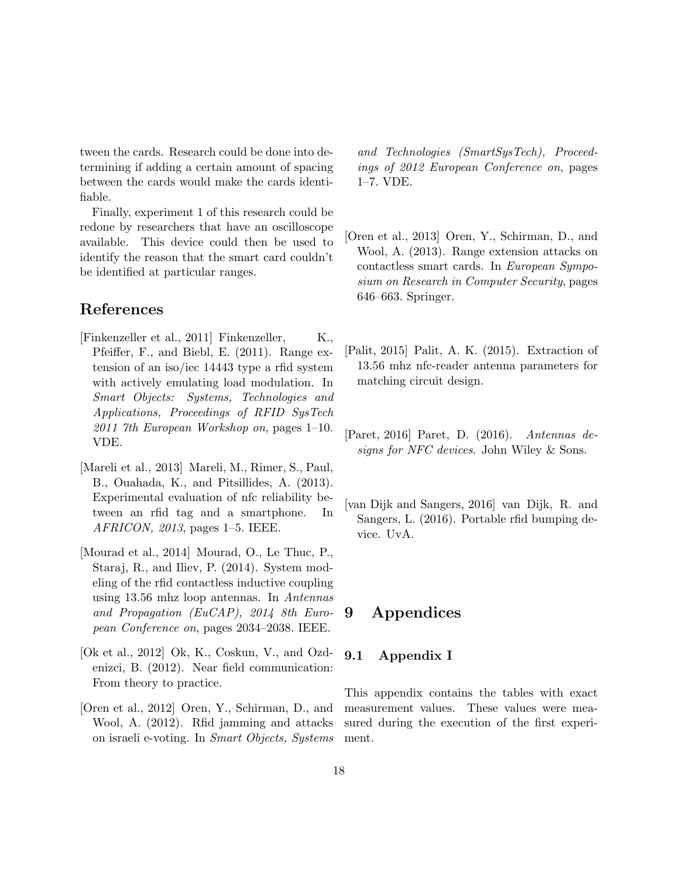tween the cards. Research could be done into determining if adding a certain amount of spacing between the cards would make the cards identifiable.

Finally, experiment 1 of this research could be redone by researchers that have an oscilloscope available. This device could then be used to identify the reason that the smart card couldn't be identified at particular ranges.

## References

- <span id="page-17-8"></span> $[\text{Finkenzeller et al., 2011}] \text{ Finkenzeller}, \qquad \text{K.,}$ Pfeiffer, F., and Biebl, E. (2011). Range extension of an iso/iec 14443 type a rfid system with actively emulating load modulation. In Smart Objects: Systems, Technologies and Applications, Proceedings of RFID SysTech 2011 7th European Workshop on, pages  $1-10$ . VDE.
- <span id="page-17-1"></span>[Mareli et al., 2013] Mareli, M., Rimer, S., Paul, B., Ouahada, K., and Pitsillides, A. (2013). Experimental evaluation of nfc reliability between an rfid tag and a smartphone. In AFRICON, 2013, pages 1–5. IEEE.
- <span id="page-17-9"></span>[Mourad et al., 2014] Mourad, O., Le Thuc, P., Staraj, R., and Iliev, P. (2014). System modeling of the rfid contactless inductive coupling using 13.56 mhz loop antennas. In Antennas and Propagation (EuCAP), 2014 8th European Conference on, pages 2034–2038. IEEE.
- <span id="page-17-0"></span>[Ok et al., 2012] Ok, K., Coskun, V., and Ozdenizci, B. (2012). Near field communication: From theory to practice.
- <span id="page-17-7"></span>[Oren et al., 2012] Oren, Y., Schirman, D., and Wool, A. (2012). Rfid jamming and attacks on israeli e-voting. In Smart Objects, Systems

and Technologies (SmartSysTech), Proceedings of 2012 European Conference on, pages 1–7. VDE.

- <span id="page-17-6"></span>[Oren et al., 2013] Oren, Y., Schirman, D., and Wool, A. (2013). Range extension attacks on contactless smart cards. In European Symposium on Research in Computer Security, pages 646–663. Springer.
- <span id="page-17-3"></span>[Palit, 2015] Palit, A. K. (2015). Extraction of 13.56 mhz nfc-reader antenna parameters for matching circuit design.
- <span id="page-17-2"></span>[Paret, 2016] Paret, D. (2016). Antennas designs for NFC devices. John Wiley & Sons.
- <span id="page-17-5"></span>[van Dijk and Sangers, 2016] van Dijk, R. and Sangers, L. (2016). Portable rfid bumping device. UvA.

## <span id="page-17-4"></span>9 Appendices

#### <span id="page-17-10"></span>9.1 Appendix I

This appendix contains the tables with exact measurement values. These values were measured during the execution of the first experiment.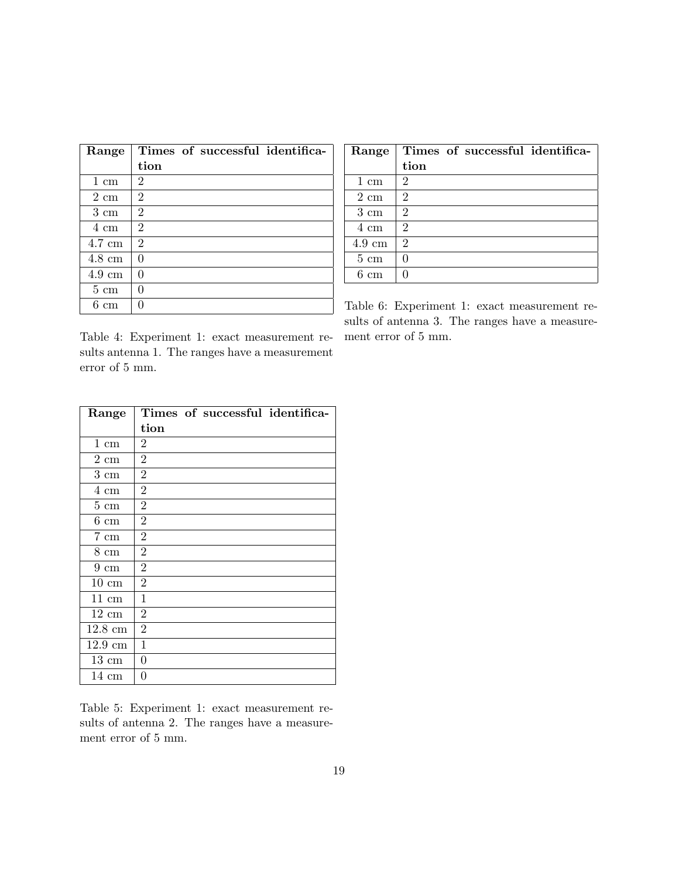| Range            | Times of successful identifica- | Range            | Times of successful identifica-             |
|------------------|---------------------------------|------------------|---------------------------------------------|
|                  | tion                            |                  | tion                                        |
| $1 \text{ cm}$   | 2                               | 1 cm             | $\overline{2}$                              |
| $2 \text{ cm}$   | $\overline{2}$                  | $2 \text{ cm}$   | $\overline{2}$                              |
| $3 \text{ cm}$   | $\overline{2}$                  | $3 \text{ cm}$   | 2                                           |
| 4 cm             | $\overline{2}$                  | 4 cm             | $\overline{2}$                              |
| $4.7 \text{ cm}$ | $\overline{2}$                  | $4.9 \text{ cm}$ | $\overline{2}$                              |
| $4.8 \text{ cm}$ | $\Omega$                        | $5 \text{ cm}$   | $\theta$                                    |
| $4.9 \text{ cm}$ | $\Omega$                        | $6 \text{ cm}$   | $\Omega$                                    |
| $5 \text{ cm}$   | $\theta$                        |                  |                                             |
| $6 \text{ cm}$   | $\theta$                        |                  | Table 6: Experiment 1: exact measurement re |

| Range          | Times of successful identifica- |
|----------------|---------------------------------|
|                | tion                            |
| $1 \text{ cm}$ | $\overline{2}$                  |
| $2 \text{ cm}$ | $\overline{2}$                  |
| $3 \text{ cm}$ | $\overline{2}$                  |
| 4 cm           | $\overline{2}$                  |
| 4.9 cm         | 2                               |
| $5 \text{ cm}$ |                                 |
| cm             |                                 |

Table 6: Experiment 1: exact measurement results of antenna 3. The ranges have a measurement error of 5 mm.

Table 4: Experiment 1: exact measurement results antenna 1. The ranges have a measurement error of 5 mm.

| Range              | Times of successful identifica- |
|--------------------|---------------------------------|
|                    | tion                            |
| $1 \text{ cm}$     | 2                               |
| $2 \; \mathrm{cm}$ | $\overline{2}$                  |
| $3 \text{ cm}$     | $\overline{2}$                  |
| $4 \text{ cm}$     | $\overline{2}$                  |
| $5 \text{ cm}$     | $\overline{2}$                  |
| $6 \text{ cm}$     | $\overline{2}$                  |
| $7 \text{ cm}$     | $\overline{2}$                  |
| $8 \text{ cm}$     | $\overline{2}$                  |
| $9 \text{ cm}$     | $\overline{2}$                  |
| $10 \text{ cm}$    | $\overline{2}$                  |
| 11 cm              | 1                               |
| $12 \text{ cm}$    | $\overline{2}$                  |
| $12.8 \text{ cm}$  | $\overline{2}$                  |
| $12.9 \text{ cm}$  | 1                               |
| $13 \text{ cm}$    | 0                               |
| $14 \text{ cm}$    | 0                               |

Table 5: Experiment 1: exact measurement results of antenna 2. The ranges have a measurement error of 5 mm.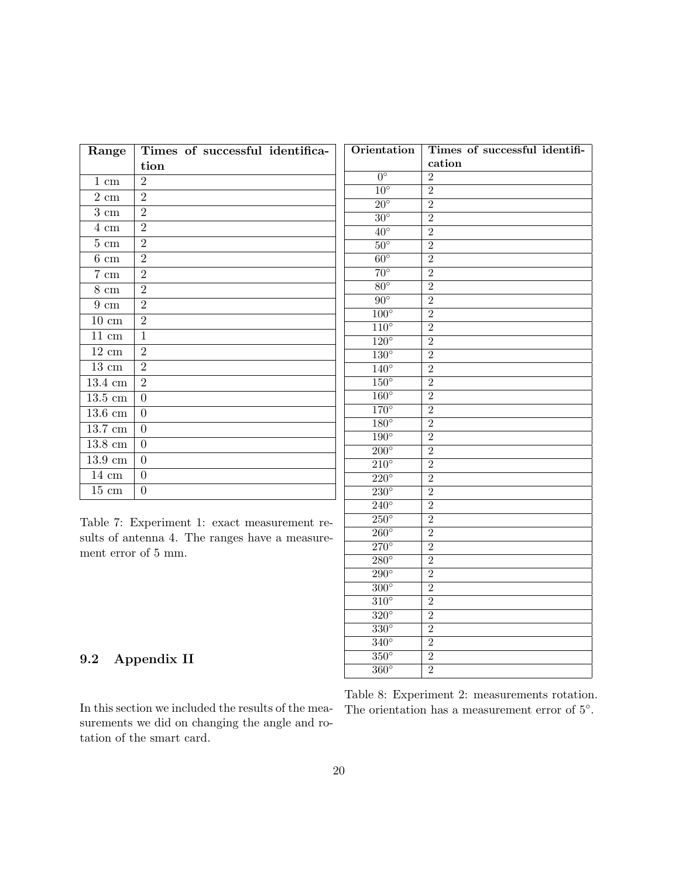| Range               | Times of successful identifica- |
|---------------------|---------------------------------|
|                     | tion                            |
| $1 \text{ cm}$      | $\overline{2}$                  |
| $2\ {\rm cm}$       | $\overline{2}$                  |
| $3 \text{ cm}$      | $\overline{2}$                  |
| $4 \text{ cm}$      | $\overline{2}$                  |
| $5 \text{ cm}$      | $\overline{2}$                  |
| $6 \text{ cm}$      | $\overline{2}$                  |
| $7 \text{ cm}$      | $\overline{2}$                  |
| $8 \text{ cm}$      | $\overline{2}$                  |
| $9 \text{ cm}$      | $\overline{2}$                  |
| $10 \text{ cm}$     | $\overline{2}$                  |
| $11 \text{ cm}$     | $\mathbf{1}$                    |
| $12 \text{ cm}$     | $\overline{2}$                  |
| $13 \text{ cm}$     | $\overline{2}$                  |
| $13.4 \text{ cm}$   | $\overline{2}$                  |
| $13.5 \text{ cm}$   | $\overline{0}$                  |
| $13.6 \text{ cm}$   | $\boldsymbol{0}$                |
| 13.7 cm             | $\overline{0}$                  |
| $13.8 \text{ cm}$   | $\overline{0}$                  |
| $13.9 \mathrm{~cm}$ | $\overline{0}$                  |
| $14 \text{ cm}$     | $\overline{0}$                  |
| $15 \text{ cm}$     | $\overline{0}$                  |

Table 7: Experiment 1: exact measurement results of antenna 4. The ranges have a measurement error of 5 mm.

| Orientation              | Times of successful identifi- |
|--------------------------|-------------------------------|
|                          | cation                        |
| $0^{\circ}$              | $\overline{2}$                |
| $10^{\circ}$             | $\overline{2}$                |
| $\overline{20^{\circ}}$  | $\overline{2}$                |
| $30^{\circ}$             | $\overline{2}$                |
| $\overline{40^{\circ}}$  | $\overline{2}$                |
| $50^\circ$               | $\overline{2}$                |
| $60^\circ$               | $\overline{2}$                |
| $\overline{70^{\circ}}$  | $\overline{2}$                |
| $80^\circ$               | $\overline{2}$                |
| $\overline{90^{\circ}}$  | $\overline{2}$                |
| $100^\circ$              | $\overline{2}$                |
| $110^\circ$              | $\overline{2}$                |
| $\overline{120^\circ}$   | $\overline{2}$                |
| $\overline{130^\circ}$   | $\overline{2}$                |
| $140^\circ$              | $\overline{2}$                |
| $150^\circ$              | $\overline{2}$                |
| $160^\circ$              | $\overline{2}$                |
| $170^\circ$              | $\overline{2}$                |
| $180^\circ$              | $\overline{2}$                |
| $190^\circ$              | $\overline{2}$                |
| $\overline{200^\circ}$   | $\overline{2}$                |
| $\overline{210^{\circ}}$ | $\overline{2}$                |
| $\overline{220^\circ}$   | $\overline{2}$                |
| $\overline{230^\circ}$   | $\overline{2}$                |
| $\overline{240^\circ}$   | $\overline{2}$                |
| $\overline{250^\circ}$   | $\overline{2}$                |
| $260^\circ$              | $\overline{2}$                |
| $\overline{270^\circ}$   | $\overline{2}$                |
| $\overline{280^\circ}$   | $\overline{2}$                |
| $290^\circ$              | $\overline{2}$                |
| $\overline{300^\circ}$   | $\overline{2}$                |
| $\overline{310^{\circ}}$ | $\overline{2}$                |
| $\overline{320^\circ}$   | $\overline{2}$                |
| $330^\circ$              | $\overline{2}$                |
| $340^\circ$              | $\overline{2}$                |
| $350^\circ$              | $\overline{2}$                |
| $360^\circ$              | $\overline{2}$                |
|                          |                               |

## <span id="page-19-0"></span>9.2 Appendix II

In this section we included the results of the measurements we did on changing the angle and rotation of the smart card.

Table 8: Experiment 2: measurements rotation. The orientation has a measurement error of  $5^{\circ}$ .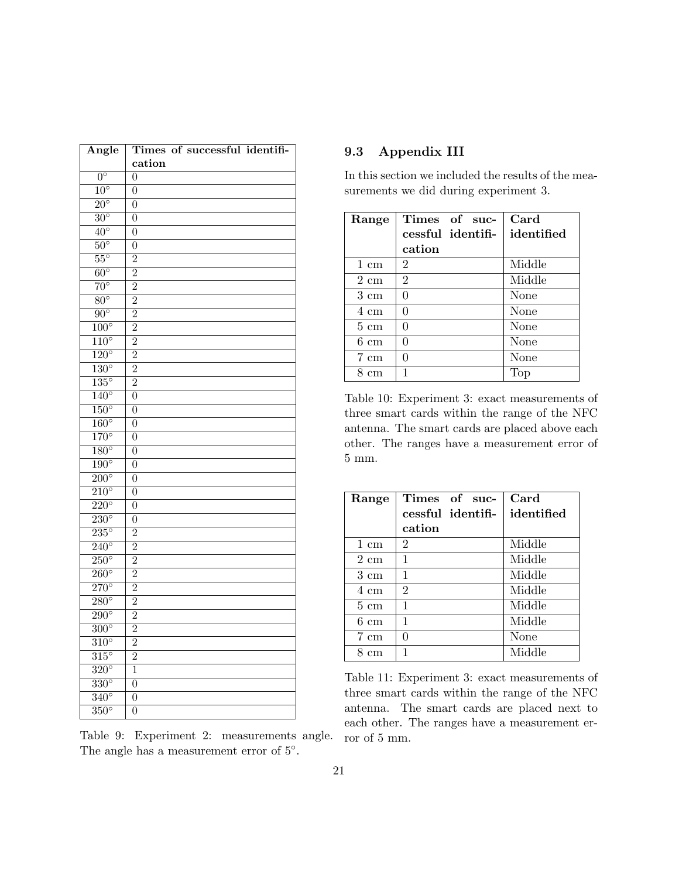| Angle                    | Times of successful identifi- |
|--------------------------|-------------------------------|
|                          | cation                        |
| $0^{\circ}$              | $\theta$                      |
| $10^{\circ}$             | $\overline{0}$                |
| $20^{\circ}$             | $\overline{0}$                |
| $\overline{30^{\circ}}$  | $\overline{0}$                |
| $40^{\circ}$             | $\overline{0}$                |
| $50^\circ$               | $\overline{0}$                |
| $\overline{55^{\circ}}$  | $\overline{2}$                |
| $60^{\circ}$             | $\overline{2}$                |
| $\overline{70^{\circ}}$  | $\overline{2}$                |
| $\overline{80^\circ}$    | $\overline{2}$                |
| $\overline{90^{\circ}}$  | $\overline{2}$                |
| $100^\circ$              | $\overline{2}$                |
| $110^\circ$              | $\overline{2}$                |
| $\overline{120^\circ}$   | $\overline{2}$                |
| $130^\circ$              | $\overline{2}$                |
| $\overline{135^\circ}$   | $\overline{2}$                |
| $140^\circ$              | $\overline{0}$                |
| $150^\circ$              | $\overline{0}$                |
| $160^\circ$              | $\overline{0}$                |
| $170^\circ$              | $\overline{0}$                |
| $180^\circ$              | $\overline{0}$                |
| $\overline{190^\circ}$   | $\boldsymbol{0}$              |
| $\overline{200^\circ}$   | $\overline{0}$                |
| $\overline{210^{\circ}}$ | $\overline{0}$                |
| $\overline{220^\circ}$   | $\overline{0}$                |
| $230^\circ$              | $\boldsymbol{0}$              |
| $\overline{235^\circ}$   | $\overline{2}$                |
| $\overline{240^\circ}$   | $\overline{2}$                |
| $\overline{250^\circ}$   | $\overline{2}$                |
| $\overline{260^\circ}$   | $\overline{2}$                |
| $270^\circ$              | $\overline{2}$                |
| $280^\circ$              | $\overline{2}$                |
| $290^\circ$              | $\overline{2}$                |
| $300^\circ$              | $\overline{2}$                |
| $310^\circ$              | $\overline{2}$                |
| $315^\circ$              | $\overline{2}$                |
| $\overline{320^\circ}$   | $\overline{1}$                |
| $\overline{330^\circ}$   | $\overline{0}$                |
| $340^\circ$              | $\overline{0}$                |
| $\overline{350^\circ}$   | $\overline{0}$                |

Table 9: Experiment 2: measurements angle. The angle has a measurement error of  $5^\circ$ .

## <span id="page-20-0"></span>9.3 Appendix III

In this section we included the results of the measurements we did during experiment 3.

| Range          | Times of suc-     | Card       |
|----------------|-------------------|------------|
|                | cessful identifi- | identified |
|                | cation            |            |
| 1 cm           | $\overline{2}$    | Middle     |
| $2 \text{ cm}$ | $\mathfrak{D}$    | Middle     |
| $3 \text{ cm}$ | ∩                 | None       |
| 4 cm           | ∩                 | None       |
| $5 \text{ cm}$ | ∩                 | None       |
| $6 \text{ cm}$ | ∩                 | None       |
| $7 \text{ cm}$ | ∩                 | None       |
| cm             |                   | Top        |

Table 10: Experiment 3: exact measurements of three smart cards within the range of the NFC antenna. The smart cards are placed above each other. The ranges have a measurement error of 5 mm.

| Range              | Times of suc-     | Card       |
|--------------------|-------------------|------------|
|                    | cessful identifi- | identified |
|                    | cation            |            |
| $1 \text{ cm}$     | $\overline{2}$    | Middle     |
| $2 \text{ cm}$     | 1                 | Middle     |
| $3 \text{ cm}$     | 1                 | Middle     |
| 4 cm               | $\overline{2}$    | Middle     |
| $5 \text{ cm}$     | 1                 | Middle     |
| $6 \; \mathrm{cm}$ | 1                 | Middle     |
| 7 cm               | 0                 | None       |
| сm                 | 1                 | Middle     |

Table 11: Experiment 3: exact measurements of three smart cards within the range of the NFC antenna. The smart cards are placed next to each other. The ranges have a measurement error of 5 mm.